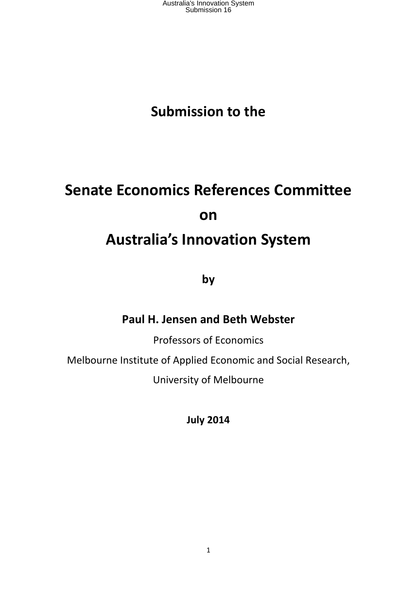## **Submission to the**

# **Senate Economics References Committee on Australia's Innovation System**

**by**

#### **Paul H. Jensen and Beth Webster**

Professors of Economics

Melbourne Institute of Applied Economic and Social Research,

University of Melbourne

**July 2014**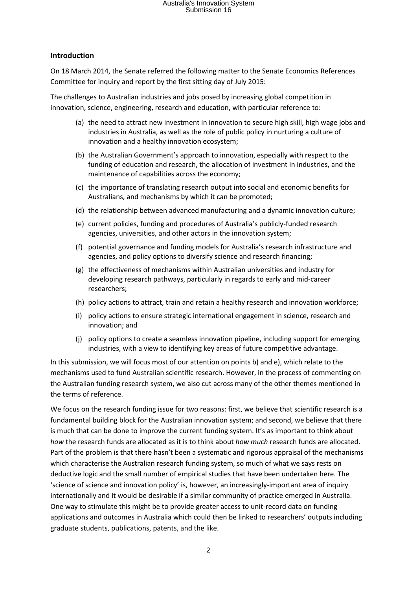#### **Introduction**

On 18 March 2014, the Senate referred the following matter to the Senate Economics References Committee for inquiry and report by the first sitting day of July 2015:

The challenges to Australian industries and jobs posed by increasing global competition in innovation, science, engineering, research and education, with particular reference to:

- (a) the need to attract new investment in innovation to secure high skill, high wage jobs and industries in Australia, as well as the role of public policy in nurturing a culture of innovation and a healthy innovation ecosystem;
- (b) the Australian Government's approach to innovation, especially with respect to the funding of education and research, the allocation of investment in industries, and the maintenance of capabilities across the economy;
- (c) the importance of translating research output into social and economic benefits for Australians, and mechanisms by which it can be promoted;
- (d) the relationship between advanced manufacturing and a dynamic innovation culture;
- (e) current policies, funding and procedures of Australia's publicly-funded research agencies, universities, and other actors in the innovation system;
- (f) potential governance and funding models for Australia's research infrastructure and agencies, and policy options to diversify science and research financing;
- (g) the effectiveness of mechanisms within Australian universities and industry for developing research pathways, particularly in regards to early and mid-career researchers;
- (h) policy actions to attract, train and retain a healthy research and innovation workforce;
- (i) policy actions to ensure strategic international engagement in science, research and innovation; and
- (j) policy options to create a seamless innovation pipeline, including support for emerging industries, with a view to identifying key areas of future competitive advantage.

In this submission, we will focus most of our attention on points b) and e), which relate to the mechanisms used to fund Australian scientific research. However, in the process of commenting on the Australian funding research system, we also cut across many of the other themes mentioned in the terms of reference.

We focus on the research funding issue for two reasons: first, we believe that scientific research is a fundamental building block for the Australian innovation system; and second, we believe that there is much that can be done to improve the current funding system. It's as important to think about *how* the research funds are allocated as it is to think about *how much* research funds are allocated. Part of the problem is that there hasn't been a systematic and rigorous appraisal of the mechanisms which characterise the Australian research funding system, so much of what we says rests on deductive logic and the small number of empirical studies that have been undertaken here. The 'science of science and innovation policy' is, however, an increasingly-important area of inquiry internationally and it would be desirable if a similar community of practice emerged in Australia. One way to stimulate this might be to provide greater access to unit-record data on funding applications and outcomes in Australia which could then be linked to researchers' outputs including graduate students, publications, patents, and the like.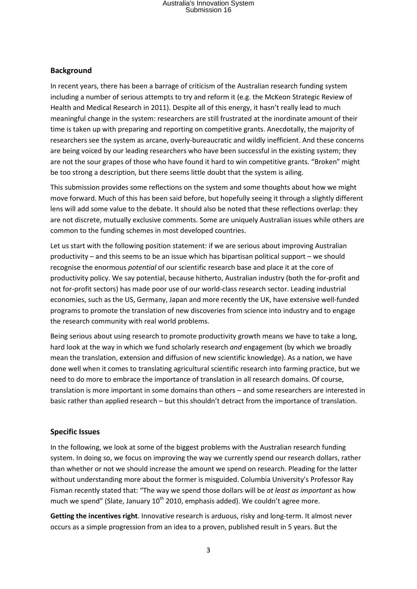#### **Background**

In recent years, there has been a barrage of criticism of the Australian research funding system including a number of serious attempts to try and reform it (e.g. the McKeon Strategic Review of Health and Medical Research in 2011). Despite all of this energy, it hasn't really lead to much meaningful change in the system: researchers are still frustrated at the inordinate amount of their time is taken up with preparing and reporting on competitive grants. Anecdotally, the majority of researchers see the system as arcane, overly-bureaucratic and wildly inefficient. And these concerns are being voiced by our leading researchers who have been successful in the existing system; they are not the sour grapes of those who have found it hard to win competitive grants. "Broken" might be too strong a description, but there seems little doubt that the system is ailing.

This submission provides some reflections on the system and some thoughts about how we might move forward. Much of this has been said before, but hopefully seeing it through a slightly different lens will add some value to the debate. It should also be noted that these reflections overlap: they are not discrete, mutually exclusive comments. Some are uniquely Australian issues while others are common to the funding schemes in most developed countries.

Let us start with the following position statement: if we are serious about improving Australian productivity – and this seems to be an issue which has bipartisan political support – we should recognise the enormous *potential* of our scientific research base and place it at the core of productivity policy. We say potential, because hitherto, Australian industry (both the for-profit and not for-profit sectors) has made poor use of our world-class research sector. Leading industrial economies, such as the US, Germany, Japan and more recently the UK, have extensive well-funded programs to promote the translation of new discoveries from science into industry and to engage the research community with real world problems.

Being serious about using research to promote productivity growth means we have to take a long, hard look at the way in which we fund scholarly research *and* engagement (by which we broadly mean the translation, extension and diffusion of new scientific knowledge). As a nation, we have done well when it comes to translating agricultural scientific research into farming practice, but we need to do more to embrace the importance of translation in all research domains. Of course, translation is more important in some domains than others – and some researchers are interested in basic rather than applied research – but this shouldn't detract from the importance of translation.

#### **Specific Issues**

In the following, we look at some of the biggest problems with the Australian research funding system. In doing so, we focus on improving the way we currently spend our research dollars, rather than whether or not we should increase the amount we spend on research. Pleading for the latter without understanding more about the former is misguided. Columbia University's Professor Ray Fisman recently stated that: "The way we spend those dollars will be *at least as important* as how much we spend" (Slate, January  $10^{th}$  2010, emphasis added). We couldn't agree more.

**Getting the incentives right**. Innovative research is arduous, risky and long-term. It almost never occurs as a simple progression from an idea to a proven, published result in 5 years. But the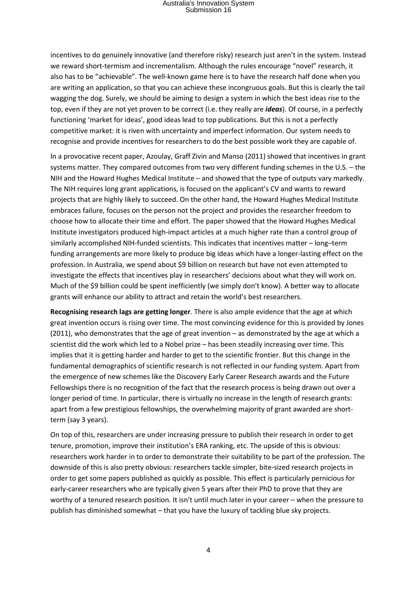incentives to do genuinely innovative (and therefore risky) research just aren't in the system. Instead we reward short-termism and incrementalism. Although the rules encourage "novel" research, it also has to be "achievable". The well-known game here is to have the research half done when you are writing an application, so that you can achieve these incongruous goals. But this is clearly the tail wagging the dog. Surely, we should be aiming to design a system in which the best ideas rise to the top, even if they are not yet proven to be correct (i.e. they really are *ideas*). Of course, in a perfectly functioning 'market for ideas', good ideas lead to top publications. But this is not a perfectly competitive market: it is riven with uncertainty and imperfect information. Our system needs to recognise and provide incentives for researchers to do the best possible work they are capable of.

In a provocative recent paper, Azoulay, Graff Zivin and Manso (2011) showed that incentives in grant systems matter. They compared outcomes from two very different funding schemes in the U.S. – the NIH and the Howard Hughes Medical Institute – and showed that the type of outputs vary markedly. The NIH requires long grant applications, is focused on the applicant's CV and wants to reward projects that are highly likely to succeed. On the other hand, the Howard Hughes Medical Institute embraces failure, focuses on the person not the project and provides the researcher freedom to choose how to allocate their time and effort. The paper showed that the Howard Hughes Medical Institute investigators produced high-impact articles at a much higher rate than a control group of similarly accomplished NIH-funded scientists. This indicates that incentives matter – long–term funding arrangements are more likely to produce big ideas which have a longer-lasting effect on the profession. In Australia, we spend about \$9 billion on research but have not even attempted to investigate the effects that incentives play in researchers' decisions about what they will work on. Much of the \$9 billion could be spent inefficiently (we simply don't know). A better way to allocate grants will enhance our ability to attract and retain the world's best researchers.

**Recognising research lags are getting longer**. There is also ample evidence that the age at which great invention occurs is rising over time. The most convincing evidence for this is provided by Jones (2011), who demonstrates that the age of great invention – as demonstrated by the age at which a scientist did the work which led to a Nobel prize – has been steadily increasing over time. This implies that it is getting harder and harder to get to the scientific frontier. But this change in the fundamental demographics of scientific research is not reflected in our funding system. Apart from the emergence of new schemes like the Discovery Early Career Research awards and the Future Fellowships there is no recognition of the fact that the research process is being drawn out over a longer period of time. In particular, there is virtually no increase in the length of research grants: apart from a few prestigious fellowships, the overwhelming majority of grant awarded are shortterm (say 3 years).

On top of this, researchers are under increasing pressure to publish their research in order to get tenure, promotion, improve their institution's ERA ranking, etc. The upside of this is obvious: researchers work harder in to order to demonstrate their suitability to be part of the profession. The downside of this is also pretty obvious: researchers tackle simpler, bite-sized research projects in order to get some papers published as quickly as possible. This effect is particularly pernicious for early-career researchers who are typically given 5 years after their PhD to prove that they are worthy of a tenured research position. It isn't until much later in your career – when the pressure to publish has diminished somewhat – that you have the luxury of tackling blue sky projects.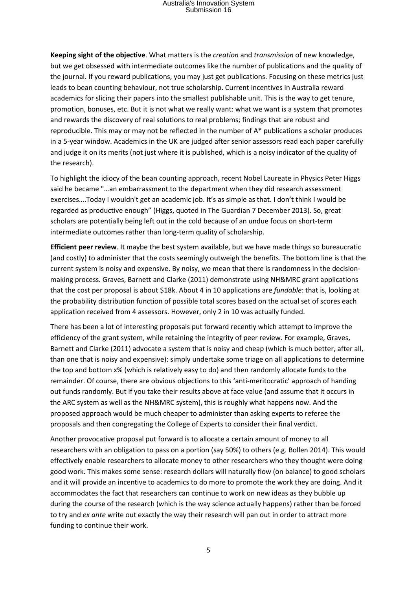**Keeping sight of the objective**. What matters is the *creation* and *transmission* of new knowledge, but we get obsessed with intermediate outcomes like the number of publications and the quality of the journal. If you reward publications, you may just get publications. Focusing on these metrics just leads to bean counting behaviour, not true scholarship. Current incentives in Australia reward academics for slicing their papers into the smallest publishable unit. This is the way to get tenure, promotion, bonuses, etc. But it is not what we really want: what we want is a system that promotes and rewards the discovery of real solutions to real problems; findings that are robust and reproducible. This may or may not be reflected in the number of A\* publications a scholar produces in a 5-year window. Academics in the UK are judged after senior assessors read each paper carefully and judge it on its merits (not just where it is published, which is a noisy indicator of the quality of the research).

To highlight the idiocy of the bean counting approach, recent Nobel Laureate in Physics Peter Higgs said he became "…an embarrassment to the department when they did research assessment exercises….Today I wouldn't get an academic job. It's as simple as that. I don't think I would be regarded as productive enough" (Higgs, quoted in The Guardian 7 December 2013). So, great scholars are potentially being left out in the cold because of an undue focus on short-term intermediate outcomes rather than long-term quality of scholarship.

**Efficient peer review**. It maybe the best system available, but we have made things so bureaucratic (and costly) to administer that the costs seemingly outweigh the benefits. The bottom line is that the current system is noisy and expensive. By noisy, we mean that there is randomness in the decisionmaking process. Graves, Barnett and Clarke (2011) demonstrate using NH&MRC grant applications that the cost per proposal is about \$18k. About 4 in 10 applications are *fundable*: that is, looking at the probability distribution function of possible total scores based on the actual set of scores each application received from 4 assessors. However, only 2 in 10 was actually funded.

There has been a lot of interesting proposals put forward recently which attempt to improve the efficiency of the grant system, while retaining the integrity of peer review. For example, Graves, Barnett and Clarke (2011) advocate a system that is noisy and cheap (which is much better, after all, than one that is noisy and expensive): simply undertake some triage on all applications to determine the top and bottom x% (which is relatively easy to do) and then randomly allocate funds to the remainder. Of course, there are obvious objections to this 'anti-meritocratic' approach of handing out funds randomly. But if you take their results above at face value (and assume that it occurs in the ARC system as well as the NH&MRC system), this is roughly what happens now. And the proposed approach would be much cheaper to administer than asking experts to referee the proposals and then congregating the College of Experts to consider their final verdict.

Another provocative proposal put forward is to allocate a certain amount of money to all researchers with an obligation to pass on a portion (say 50%) to others (e.g. Bollen 2014). This would effectively enable researchers to allocate money to other researchers who they thought were doing good work. This makes some sense: research dollars will naturally flow (on balance) to good scholars and it will provide an incentive to academics to do more to promote the work they are doing. And it accommodates the fact that researchers can continue to work on new ideas as they bubble up during the course of the research (which is the way science actually happens) rather than be forced to try and *ex ante* write out exactly the way their research will pan out in order to attract more funding to continue their work.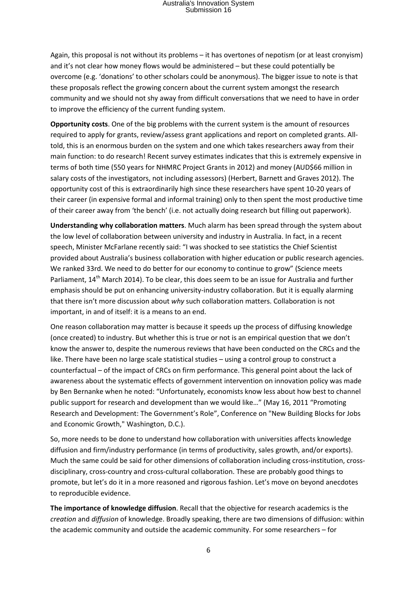Again, this proposal is not without its problems – it has overtones of nepotism (or at least cronyism) and it's not clear how money flows would be administered – but these could potentially be overcome (e.g. 'donations' to other scholars could be anonymous). The bigger issue to note is that these proposals reflect the growing concern about the current system amongst the research community and we should not shy away from difficult conversations that we need to have in order to improve the efficiency of the current funding system.

**Opportunity costs**. One of the big problems with the current system is the amount of resources required to apply for grants, review/assess grant applications and report on completed grants. Alltold, this is an enormous burden on the system and one which takes researchers away from their main function: to do research! Recent survey estimates indicates that this is extremely expensive in terms of both time (550 years for [NHMRC Project Grants](http://www.nhmrc.gov.au/grants/apply-funding/project-grants) in 2012) and money (AUD\$66 million in salary costs of the investigators, not including assessors) (Herbert, Barnett and Graves 2012). The opportunity cost of this is extraordinarily high since these researchers have spent 10-20 years of their career (in expensive formal and informal training) only to then spent the most productive time of their career away from 'the bench' (i.e. not actually doing research but filling out paperwork).

**Understanding why collaboration matters**. Much alarm has been spread through the system about the low level of collaboration between university and industry in Australia. In fact, in a recent speech, Minister McFarlane recently said: "I was shocked to see statistics the Chief Scientist provided about Australia's business collaboration with higher education or public research agencies. We ranked 33rd. We need to do better for our economy to continue to grow" (Science meets Parliament,  $14^{th}$  March 2014). To be clear, this does seem to be an issue for Australia and further emphasis should be put on enhancing university-industry collaboration. But it is equally alarming that there isn't more discussion about *why* such collaboration matters. Collaboration is not important, in and of itself: it is a means to an end.

One reason collaboration may matter is because it speeds up the process of diffusing knowledge (once created) to industry. But whether this is true or not is an empirical question that we don't know the answer to, despite the numerous reviews that have been conducted on the CRCs and the like. There have been no large scale statistical studies – using a control group to construct a counterfactual – of the impact of CRCs on firm performance. This general point about the lack of awareness about the systematic effects of government intervention on innovation policy was made by Ben Bernanke when he noted: "Unfortunately, economists know less about how best to channel public support for research and development than we would like…" (May 16, 2011 "Promoting Research and Development: The Government's Role", Conference on "New Building Blocks for Jobs and Economic Growth," Washington, D.C.).

So, more needs to be done to understand how collaboration with universities affects knowledge diffusion and firm/industry performance (in terms of productivity, sales growth, and/or exports). Much the same could be said for other dimensions of collaboration including cross-institution, crossdisciplinary, cross-country and cross-cultural collaboration. These are probably good things to promote, but let's do it in a more reasoned and rigorous fashion. Let's move on beyond anecdotes to reproducible evidence.

**The importance of knowledge diffusion**. Recall that the objective for research academics is the *creation* and *diffusion* of knowledge. Broadly speaking, there are two dimensions of diffusion: within the academic community and outside the academic community. For some researchers – for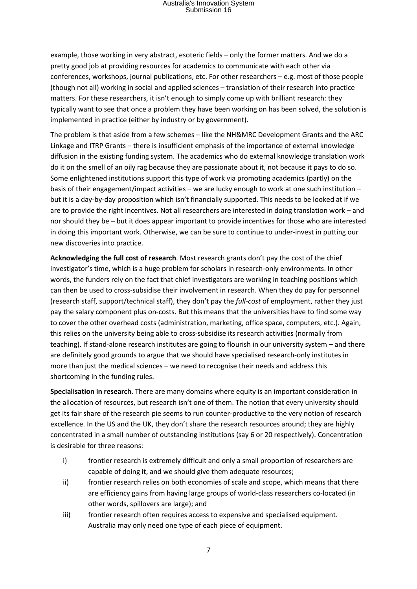example, those working in very abstract, esoteric fields – only the former matters. And we do a pretty good job at providing resources for academics to communicate with each other via conferences, workshops, journal publications, etc. For other researchers – e.g. most of those people (though not all) working in social and applied sciences – translation of their research into practice matters. For these researchers, it isn't enough to simply come up with brilliant research: they typically want to see that once a problem they have been working on has been solved, the solution is implemented in practice (either by industry or by government).

The problem is that aside from a few schemes – like the NH&MRC Development Grants and the ARC Linkage and ITRP Grants – there is insufficient emphasis of the importance of external knowledge diffusion in the existing funding system. The academics who do external knowledge translation work do it on the smell of an oily rag because they are passionate about it, not because it pays to do so. Some enlightened institutions support this type of work via promoting academics (partly) on the basis of their engagement/impact activities – we are lucky enough to work at one such institution – but it is a day-by-day proposition which isn't financially supported. This needs to be looked at if we are to provide the right incentives. Not all researchers are interested in doing translation work – and nor should they be – but it does appear important to provide incentives for those who are interested in doing this important work. Otherwise, we can be sure to continue to under-invest in putting our new discoveries into practice.

**Acknowledging the full cost of research**. Most research grants don't pay the cost of the chief investigator's time, which is a huge problem for scholars in research-only environments. In other words, the funders rely on the fact that chief investigators are working in teaching positions which can then be used to cross-subsidise their involvement in research. When they do pay for personnel (research staff, support/technical staff), they don't pay the *full-cost* of employment, rather they just pay the salary component plus on-costs. But this means that the universities have to find some way to cover the other overhead costs (administration, marketing, office space, computers, etc.). Again, this relies on the university being able to cross-subsidise its research activities (normally from teaching). If stand-alone research institutes are going to flourish in our university system – and there are definitely good grounds to argue that we should have specialised research-only institutes in more than just the medical sciences – we need to recognise their needs and address this shortcoming in the funding rules.

**Specialisation in research**. There are many domains where equity is an important consideration in the allocation of resources, but research isn't one of them. The notion that every university should get its fair share of the research pie seems to run counter-productive to the very notion of research excellence. In the US and the UK, they don't share the research resources around; they are highly concentrated in a small number of outstanding institutions (say 6 or 20 respectively). Concentration is desirable for three reasons:

- i) frontier research is extremely difficult and only a small proportion of researchers are capable of doing it, and we should give them adequate resources;
- ii) frontier research relies on both economies of scale and scope, which means that there are efficiency gains from having large groups of world-class researchers co-located (in other words, spillovers are large); and
- iii) frontier research often requires access to expensive and specialised equipment. Australia may only need one type of each piece of equipment.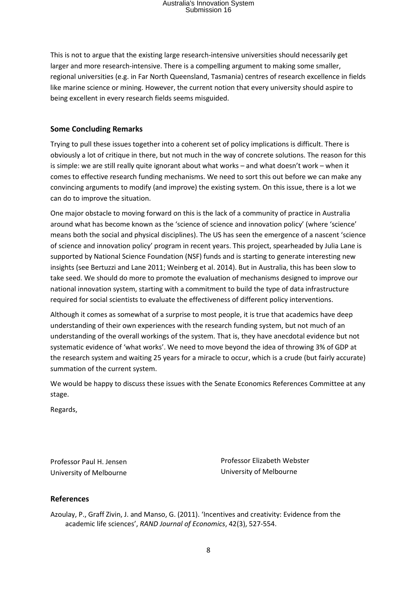This is not to argue that the existing large research-intensive universities should necessarily get larger and more research-intensive. There is a compelling argument to making some smaller, regional universities (e.g. in Far North Queensland, Tasmania) centres of research excellence in fields like marine science or mining. However, the current notion that every university should aspire to being excellent in every research fields seems misguided.

#### **Some Concluding Remarks**

Trying to pull these issues together into a coherent set of policy implications is difficult. There is obviously a lot of critique in there, but not much in the way of concrete solutions. The reason for this is simple: we are still really quite ignorant about what works – and what doesn't work – when it comes to effective research funding mechanisms. We need to sort this out before we can make any convincing arguments to modify (and improve) the existing system. On this issue, there is a lot we can do to improve the situation.

One major obstacle to moving forward on this is the lack of a community of practice in Australia around what has become known as the 'science of science and innovation policy' (where 'science' means both the social and physical disciplines). The US has seen the emergence of a nascent 'science of science and innovation policy' program in recent years. This project, spearheaded by Julia Lane is supported by National Science Foundation (NSF) funds and is starting to generate interesting new insights (see Bertuzzi and Lane 2011; Weinberg et al. 2014). But in Australia, this has been slow to take seed. We should do more to promote the evaluation of mechanisms designed to improve our national innovation system, starting with a commitment to build the type of data infrastructure required for social scientists to evaluate the effectiveness of different policy interventions.

Although it comes as somewhat of a surprise to most people, it is true that academics have deep understanding of their own experiences with the research funding system, but not much of an understanding of the overall workings of the system. That is, they have anecdotal evidence but not systematic evidence of 'what works'. We need to move beyond the idea of throwing 3% of GDP at the research system and waiting 25 years for a miracle to occur, which is a crude (but fairly accurate) summation of the current system.

We would be happy to discuss these issues with the Senate Economics References Committee at any stage.

Regards,

Professor Paul H. Jensen University of Melbourne Professor Elizabeth Webster University of Melbourne

#### **References**

Azoulay, P., Graff Zivin, J. and Manso, G. (2011). 'Incentives and creativity: Evidence from the academic life sciences', *RAND Journal of Economics*, 42(3), 527-554.